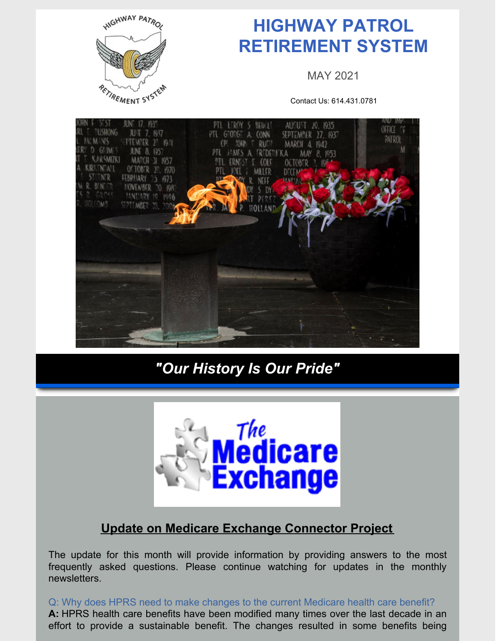

# **HIGHWAY PATROL RETIREMENT SYSTEM**

MAY 2021

Contact Us: 614.431.0781



## *"Our History Is Our Pride"*



### **Update on Medicare Exchange Connector Project**

The update for this month will provide information by providing answers to the most frequently asked questions. Please continue watching for updates in the monthly newsletters.

Q: Why does HPRS need to make changes to the current Medicare health care benefit? **A:** HPRS health care benefits have been modified many times over the last decade in an effort to provide a sustainable benefit. The changes resulted in some benefits being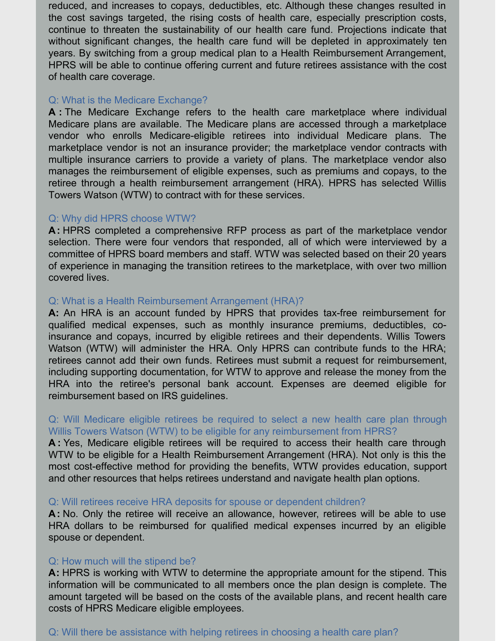reduced, and increases to copays, deductibles, etc. Although these changes resulted in the cost savings targeted, the rising costs of health care, especially prescription costs, continue to threaten the sustainability of our health care fund. Projections indicate that without significant changes, the health care fund will be depleted in approximately ten years. By switching from a group medical plan to a Health Reimbursement Arrangement, HPRS will be able to continue offering current and future retirees assistance with the cost of health care coverage.

#### Q: What is the Medicare Exchange?

**A :** The Medicare Exchange refers to the health care marketplace where individual Medicare plans are available. The Medicare plans are accessed through a marketplace vendor who enrolls Medicare-eligible retirees into individual Medicare plans. The marketplace vendor is not an insurance provider; the marketplace vendor contracts with multiple insurance carriers to provide a variety of plans. The marketplace vendor also manages the reimbursement of eligible expenses, such as premiums and copays, to the retiree through a health reimbursement arrangement (HRA). HPRS has selected Willis Towers Watson (WTW) to contract with for these services.

#### Q: Why did HPRS choose WTW?

**A:** HPRS completed a comprehensive RFP process as part of the marketplace vendor selection. There were four vendors that responded, all of which were interviewed by a committee of HPRS board members and staff. WTW was selected based on their 20 years of experience in managing the transition retirees to the marketplace, with over two million covered lives.

#### Q: What is a Health Reimbursement Arrangement (HRA)?

**A:** An HRA is an account funded by HPRS that provides tax-free reimbursement for qualified medical expenses, such as monthly insurance premiums, deductibles, coinsurance and copays, incurred by eligible retirees and their dependents. Willis Towers Watson (WTW) will administer the HRA. Only HPRS can contribute funds to the HRA; retirees cannot add their own funds. Retirees must submit a request for reimbursement, including supporting documentation, for WTW to approve and release the money from the HRA into the retiree's personal bank account. Expenses are deemed eligible for reimbursement based on IRS guidelines.

#### Q: Will Medicare eligible retirees be required to select a new health care plan through Willis Towers Watson (WTW) to be eligible for any reimbursement from HPRS?

**A :** Yes, Medicare eligible retirees will be required to access their health care through WTW to be eligible for a Health Reimbursement Arrangement (HRA). Not only is this the most cost-effective method for providing the benefits, WTW provides education, support and other resources that helps retirees understand and navigate health plan options.

#### Q: Will retirees receive HRA deposits for spouse or dependent children?

**A:** No. Only the retiree will receive an allowance, however, retirees will be able to use HRA dollars to be reimbursed for qualified medical expenses incurred by an eligible spouse or dependent.

#### Q: How much will the stipend be?

**A:** HPRS is working with WTW to determine the appropriate amount for the stipend. This information will be communicated to all members once the plan design is complete. The amount targeted will be based on the costs of the available plans, and recent health care costs of HPRS Medicare eligible employees.

#### Q: Will there be assistance with helping retirees in choosing a health care plan?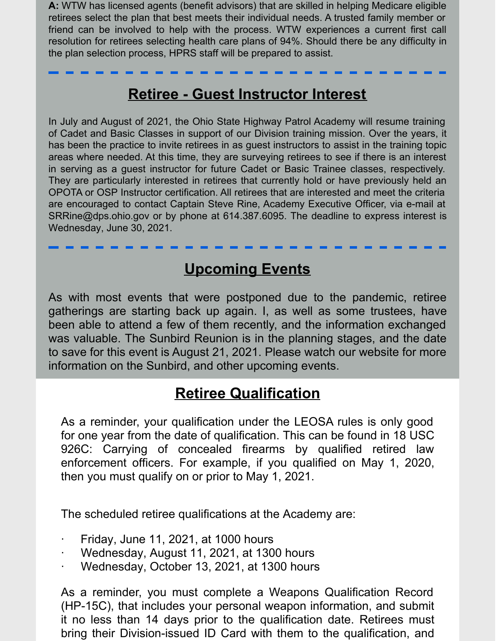**A:** WTW has licensed agents (benefit advisors) that are skilled in helping Medicare eligible retirees select the plan that best meets their individual needs. A trusted family member or friend can be involved to help with the process. WTW experiences a current first call resolution for retirees selecting health care plans of 94%. Should there be any difficulty in the plan selection process, HPRS staff will be prepared to assist.

### **Retiree - Guest Instructor Interest**

In July and August of 2021, the Ohio State Highway Patrol Academy will resume training of Cadet and Basic Classes in support of our Division training mission. Over the years, it has been the practice to invite retirees in as guest instructors to assist in the training topic areas where needed. At this time, they are surveying retirees to see if there is an interest in serving as a guest instructor for future Cadet or Basic Trainee classes, respectively. They are particularly interested in retirees that currently hold or have previously held an OPOTA or OSP Instructor certification. All retirees that are interested and meet the criteria are encouraged to contact Captain Steve Rine, Academy Executive Officer, via e-mail at SRRine@dps.ohio.gov or by phone at 614.387.6095. The deadline to express interest is Wednesday, June 30, 2021.

### **Upcoming Events**

As with most events that were postponed due to the pandemic, retiree gatherings are starting back up again. I, as well as some trustees, have been able to attend a few of them recently, and the information exchanged was valuable. The Sunbird Reunion is in the planning stages, and the date to save for this event is August 21, 2021. Please watch our website for more information on the Sunbird, and other upcoming events.

### **Retiree Qualification**

As a reminder, your qualification under the LEOSA rules is only good for one year from the date of qualification. This can be found in 18 USC 926C: Carrying of concealed firearms by qualified retired law enforcement officers. For example, if you qualified on May 1, 2020, then you must qualify on or prior to May 1, 2021.

The scheduled retiree qualifications at the Academy are:

- · Friday, June 11, 2021, at 1000 hours
- · Wednesday, August 11, 2021, at 1300 hours
- Wednesday, October 13, 2021, at 1300 hours

As a reminder, you must complete a Weapons Qualification Record (HP-15C), that includes your personal weapon information, and submit it no less than 14 days prior to the qualification date. Retirees must bring their Division-issued ID Card with them to the qualification, and